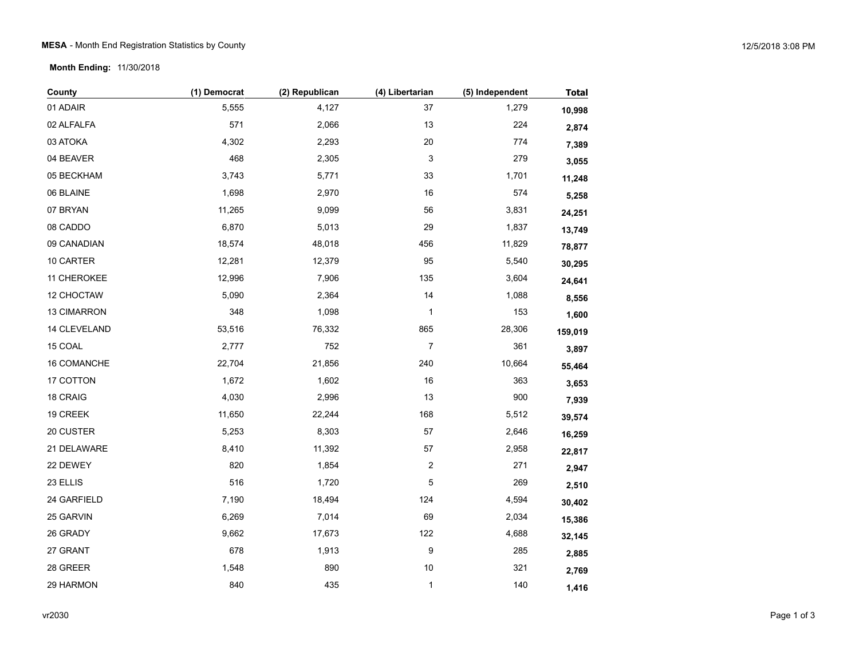## MESA - Month End Registration Statistics by County 12/5/2018 3:08 PM

**Month Ending:** 11/30/2018

| County       | (1) Democrat | (2) Republican | (4) Libertarian | (5) Independent | <b>Total</b> |
|--------------|--------------|----------------|-----------------|-----------------|--------------|
| 01 ADAIR     | 5,555        | 4,127          | 37              | 1,279           | 10,998       |
| 02 ALFALFA   | 571          | 2,066          | 13              | 224             | 2,874        |
| 03 ATOKA     | 4,302        | 2,293          | 20              | 774             | 7,389        |
| 04 BEAVER    | 468          | 2,305          | 3               | 279             | 3,055        |
| 05 BECKHAM   | 3,743        | 5,771          | 33              | 1,701           | 11,248       |
| 06 BLAINE    | 1,698        | 2,970          | $16\,$          | 574             | 5,258        |
| 07 BRYAN     | 11,265       | 9,099          | 56              | 3,831           | 24,251       |
| 08 CADDO     | 6,870        | 5,013          | 29              | 1,837           | 13,749       |
| 09 CANADIAN  | 18,574       | 48,018         | 456             | 11,829          | 78,877       |
| 10 CARTER    | 12,281       | 12,379         | 95              | 5,540           | 30,295       |
| 11 CHEROKEE  | 12,996       | 7,906          | 135             | 3,604           | 24,641       |
| 12 CHOCTAW   | 5,090        | 2,364          | 14              | 1,088           | 8,556        |
| 13 CIMARRON  | 348          | 1,098          | 1               | 153             | 1,600        |
| 14 CLEVELAND | 53,516       | 76,332         | 865             | 28,306          | 159,019      |
| 15 COAL      | 2,777        | 752            | $\overline{7}$  | 361             | 3,897        |
| 16 COMANCHE  | 22,704       | 21,856         | 240             | 10,664          | 55,464       |
| 17 COTTON    | 1,672        | 1,602          | $16\,$          | 363             | 3,653        |
| 18 CRAIG     | 4,030        | 2,996          | 13              | 900             | 7,939        |
| 19 CREEK     | 11,650       | 22,244         | 168             | 5,512           | 39,574       |
| 20 CUSTER    | 5,253        | 8,303          | 57              | 2,646           | 16,259       |
| 21 DELAWARE  | 8,410        | 11,392         | 57              | 2,958           | 22,817       |
| 22 DEWEY     | 820          | 1,854          | 2               | 271             | 2,947        |
| 23 ELLIS     | 516          | 1,720          | 5               | 269             | 2,510        |
| 24 GARFIELD  | 7,190        | 18,494         | 124             | 4,594           | 30,402       |
| 25 GARVIN    | 6,269        | 7,014          | 69              | 2,034           | 15,386       |
| 26 GRADY     | 9,662        | 17,673         | $122$           | 4,688           | 32,145       |
| 27 GRANT     | 678          | 1,913          | 9               | 285             | 2,885        |
| 28 GREER     | 1,548        | 890            | $10$            | 321             | 2,769        |
| 29 HARMON    | 840          | 435            | $\mathbf{1}$    | 140             | 1,416        |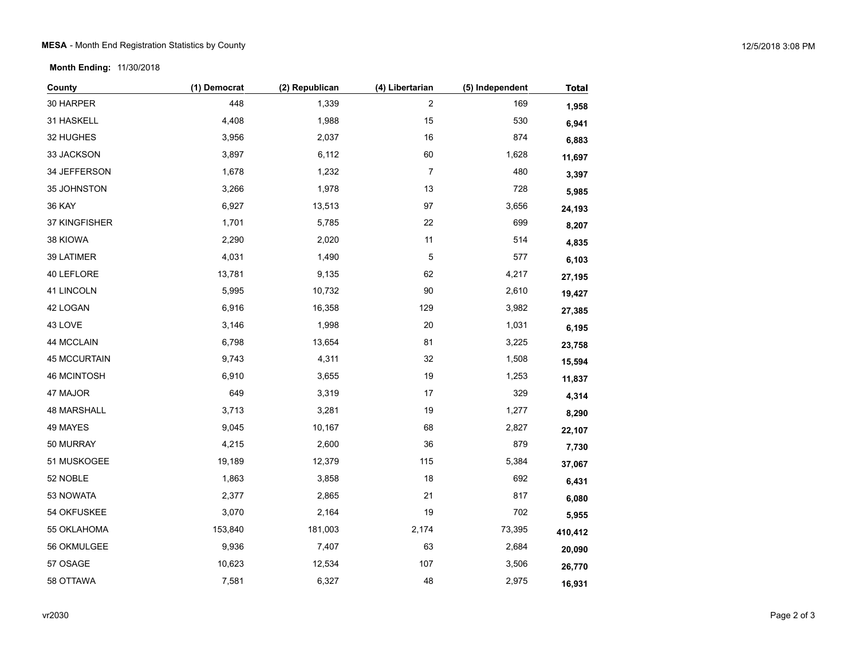**Month Ending:** 11/30/2018

| County              | (1) Democrat | (2) Republican | (4) Libertarian         | (5) Independent | <b>Total</b> |
|---------------------|--------------|----------------|-------------------------|-----------------|--------------|
| 30 HARPER           | 448          | 1,339          | $\overline{\mathbf{c}}$ | 169             | 1,958        |
| 31 HASKELL          | 4,408        | 1,988          | 15                      | 530             | 6,941        |
| 32 HUGHES           | 3,956        | 2,037          | 16                      | 874             | 6,883        |
| 33 JACKSON          | 3,897        | 6,112          | 60                      | 1,628           | 11,697       |
| 34 JEFFERSON        | 1,678        | 1,232          | $\overline{7}$          | 480             | 3,397        |
| 35 JOHNSTON         | 3,266        | 1,978          | 13                      | 728             | 5,985        |
| <b>36 KAY</b>       | 6,927        | 13,513         | 97                      | 3,656           | 24,193       |
| 37 KINGFISHER       | 1,701        | 5,785          | 22                      | 699             | 8,207        |
| 38 KIOWA            | 2,290        | 2,020          | 11                      | 514             | 4,835        |
| 39 LATIMER          | 4,031        | 1,490          | 5                       | 577             | 6,103        |
| 40 LEFLORE          | 13,781       | 9,135          | 62                      | 4,217           | 27,195       |
| 41 LINCOLN          | 5,995        | 10,732         | 90                      | 2,610           | 19,427       |
| 42 LOGAN            | 6,916        | 16,358         | 129                     | 3,982           | 27,385       |
| 43 LOVE             | 3,146        | 1,998          | 20                      | 1,031           | 6,195        |
| 44 MCCLAIN          | 6,798        | 13,654         | 81                      | 3,225           | 23,758       |
| <b>45 MCCURTAIN</b> | 9,743        | 4,311          | 32                      | 1,508           | 15,594       |
| <b>46 MCINTOSH</b>  | 6,910        | 3,655          | 19                      | 1,253           | 11,837       |
| 47 MAJOR            | 649          | 3,319          | 17                      | 329             | 4,314        |
| <b>48 MARSHALL</b>  | 3,713        | 3,281          | 19                      | 1,277           | 8,290        |
| 49 MAYES            | 9,045        | 10,167         | 68                      | 2,827           | 22,107       |
| 50 MURRAY           | 4,215        | 2,600          | 36                      | 879             | 7,730        |
| 51 MUSKOGEE         | 19,189       | 12,379         | 115                     | 5,384           | 37,067       |
| 52 NOBLE            | 1,863        | 3,858          | 18                      | 692             | 6,431        |
| 53 NOWATA           | 2,377        | 2,865          | 21                      | 817             | 6,080        |
| 54 OKFUSKEE         | 3,070        | 2,164          | 19                      | 702             | 5,955        |
| 55 OKLAHOMA         | 153,840      | 181,003        | 2,174                   | 73,395          | 410,412      |
| 56 OKMULGEE         | 9,936        | 7,407          | 63                      | 2,684           | 20,090       |
| 57 OSAGE            | 10,623       | 12,534         | 107                     | 3,506           | 26,770       |
| 58 OTTAWA           | 7,581        | 6,327          | 48                      | 2,975           | 16,931       |